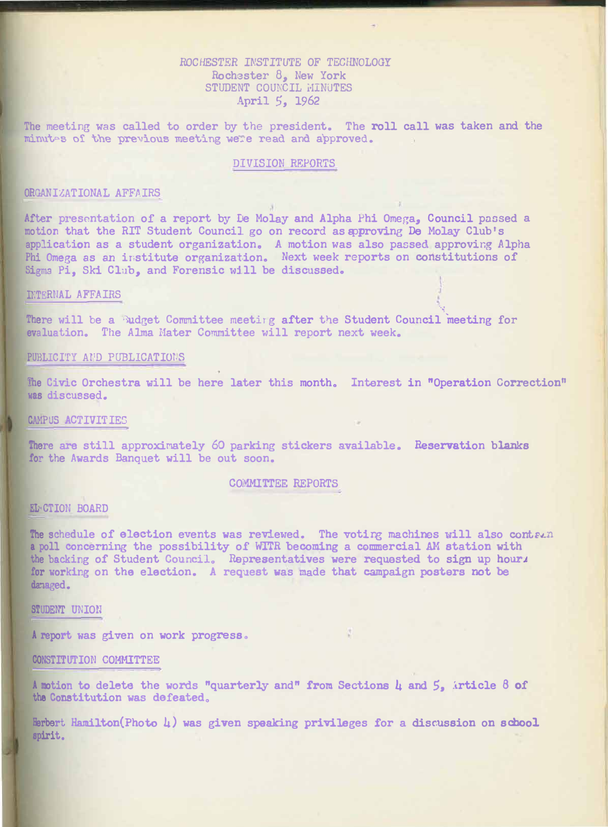# *ROCHESTER* INSTITUTE OF TECHNOLOGY **Roch3ster 8, New York STUDENT COUNCIL MINUTES April** *5,* 1962

The meeting was called to order by the president. The roll call was taken and the minutes of the previous meeting were read and approved. minutes of the previous meeting were read and approved.

### DIVISION REPORTS

### **ORGANIZATIONAL AFFAIRS**

**After presentation of a report by De Molay and Alpha Phi Omega., Council passed a**  motion that the RIT Student Council go on record as approving De Molay Club's application as a student organization. A motion was also passed approving Alpha Phi Omega as an institute organization. Next week reports on constitutions of **Sigma Pi, Ski Club, and Forensic will be discusaed<sup>o</sup>**

#### **n:TERNAL AFFAIRS**

There will be a **Budget Committee meetirg after the Student Council meeting for evaluation. The Alma Hater Committee will report next week.** 

### **?UBLICI'fY A?**1**D PUBLICATIOT,S**

The Civic Orchestra will be here later this month<sub>o</sub> Interest in "Operation Correction" **was discussed.** 

·-�

### **CAMPUS ACTIVITIES**

There are still approximately 60 parking stickers available. Reservation blanks **for the Awards Banquet will be out soon.** 

### COMMITTEE **REPORTS**

### **EL-CTION BOARD**

The schedule of election events was reviewed. The voting machines will also contean **a poll concerning the possibility of WITR becoming a commercial AM station with**  the backing of Student Council. Representatives were requested to sign up hour<sub>J</sub> for working on the election. A request was made that campaign posters not be **damaged.** 

 $\mathcal{L}$ 

### **STUDENT UNION**

**A report was given on work progress** <sup>o</sup>

### **CONSTITUTION COMMITTEE**

**A motion to delete the words "quarterly and" from** Sections 4 **and** 5, **:1.rticle 8 of**  the **Constitution** was defeated.

Herbert Hamilton(Photo 4) was given speaking privileges for a discussion on school **spirit.**